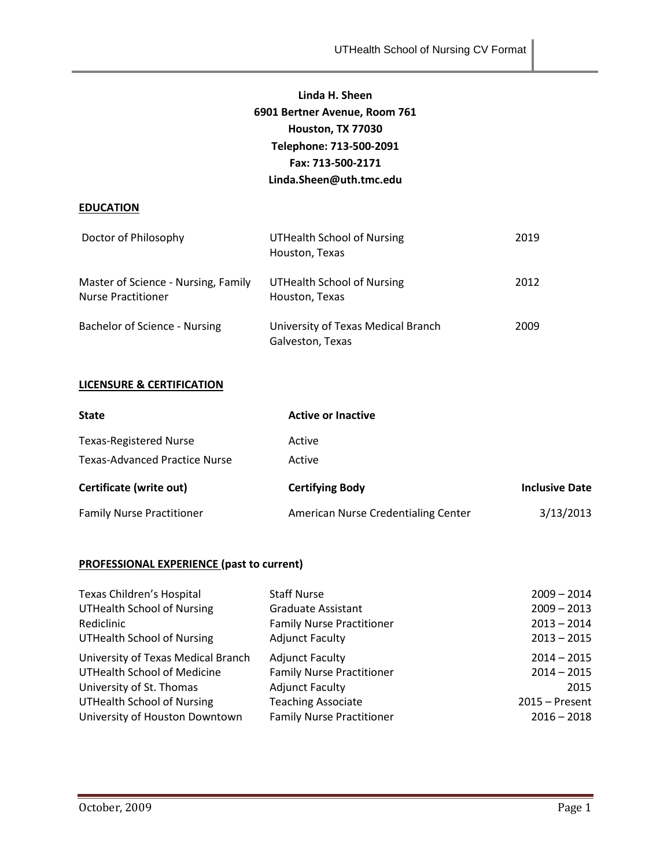## **Linda H. Sheen 6901 Bertner Avenue, Room 761 Houston, TX 77030 Telephone: 713-500-2091 Fax: 713-500-2171 Linda.Sheen@uth.tmc.edu**

## **EDUCATION**

| Doctor of Philosophy                                             | <b>UTHealth School of Nursing</b><br>Houston, Texas    | 2019 |
|------------------------------------------------------------------|--------------------------------------------------------|------|
| Master of Science - Nursing, Family<br><b>Nurse Practitioner</b> | UTHealth School of Nursing<br>Houston, Texas           | 2012 |
| Bachelor of Science - Nursing                                    | University of Texas Medical Branch<br>Galveston, Texas | 2009 |

## **LICENSURE & CERTIFICATION**

| <b>State</b>                         | <b>Active or Inactive</b>           |                       |  |
|--------------------------------------|-------------------------------------|-----------------------|--|
| <b>Texas-Registered Nurse</b>        | Active                              |                       |  |
| <b>Texas-Advanced Practice Nurse</b> | Active                              |                       |  |
| Certificate (write out)              | <b>Certifying Body</b>              | <b>Inclusive Date</b> |  |
| <b>Family Nurse Practitioner</b>     | American Nurse Credentialing Center | 3/13/2013             |  |

## **PROFESSIONAL EXPERIENCE (past to current)**

| Texas Children's Hospital          | <b>Staff Nurse</b>               | $2009 - 2014$    |
|------------------------------------|----------------------------------|------------------|
| <b>UTHealth School of Nursing</b>  | <b>Graduate Assistant</b>        | $2009 - 2013$    |
| Rediclinic                         | <b>Family Nurse Practitioner</b> | $2013 - 2014$    |
| <b>UTHealth School of Nursing</b>  | <b>Adjunct Faculty</b>           | $2013 - 2015$    |
| University of Texas Medical Branch | <b>Adjunct Faculty</b>           | $2014 - 2015$    |
| <b>UTHealth School of Medicine</b> | <b>Family Nurse Practitioner</b> | $2014 - 2015$    |
| University of St. Thomas           | <b>Adjunct Faculty</b>           | 2015             |
| <b>UTHealth School of Nursing</b>  | <b>Teaching Associate</b>        | $2015 -$ Present |
| University of Houston Downtown     | <b>Family Nurse Practitioner</b> | $2016 - 2018$    |